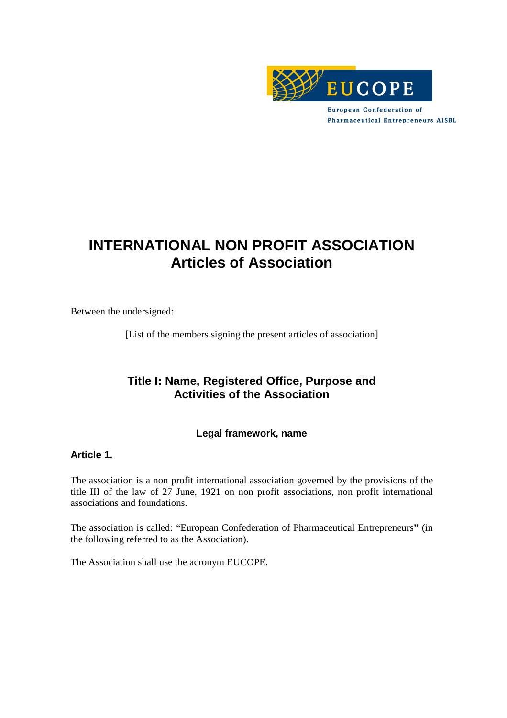

**European Confederation of Pharmaceutical Entrepreneurs AISBL** 

# **INTERNATIONAL NON PROFIT ASSOCIATION Articles of Association**

Between the undersigned:

[List of the members signing the present articles of association]

# **Title I: Name, Registered Office, Purpose and Activities of the Association**

### **Legal framework, name**

### **Article 1.**

The association is a non profit international association governed by the provisions of the title III of the law of 27 June, 1921 on non profit associations, non profit international associations and foundations.

The association is called: "European Confederation of Pharmaceutical Entrepreneurs**"** (in the following referred to as the Association).

The Association shall use the acronym EUCOPE.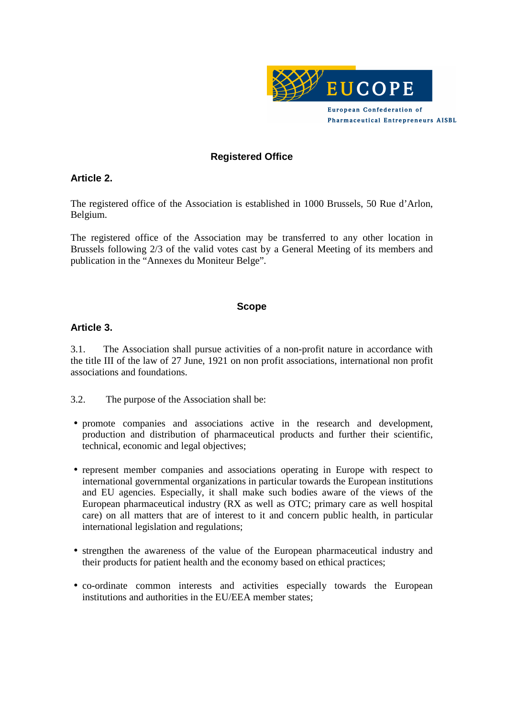

### **Registered Office**

#### **Article 2.**

The registered office of the Association is established in 1000 Brussels, 50 Rue d'Arlon, Belgium.

The registered office of the Association may be transferred to any other location in Brussels following 2/3 of the valid votes cast by a General Meeting of its members and publication in the "Annexes du Moniteur Belge"*.*

#### **Scope**

#### **Article 3.**

3.1. The Association shall pursue activities of a non-profit nature in accordance with the title III of the law of 27 June, 1921 on non profit associations, international non profit associations and foundations.

3.2. The purpose of the Association shall be:

- promote companies and associations active in the research and development, production and distribution of pharmaceutical products and further their scientific, technical, economic and legal objectives;
- represent member companies and associations operating in Europe with respect to international governmental organizations in particular towards the European institutions and EU agencies. Especially, it shall make such bodies aware of the views of the European pharmaceutical industry (RX as well as OTC; primary care as well hospital care) on all matters that are of interest to it and concern public health, in particular international legislation and regulations;
- strengthen the awareness of the value of the European pharmaceutical industry and their products for patient health and the economy based on ethical practices;
- co-ordinate common interests and activities especially towards the European institutions and authorities in the EU/EEA member states;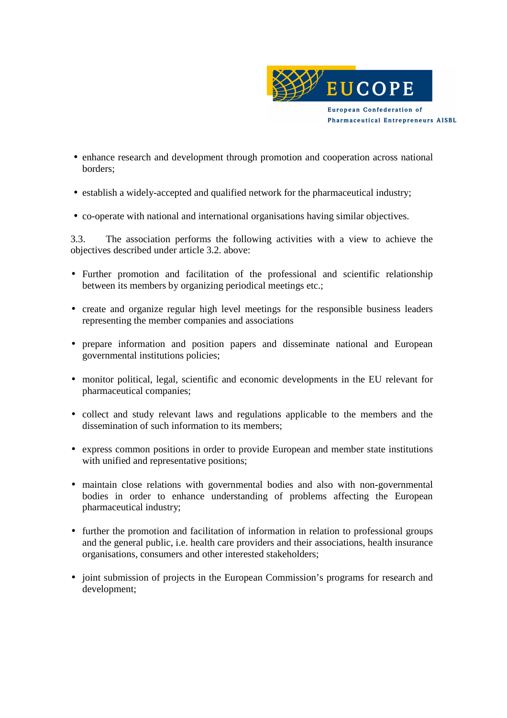

- enhance research and development through promotion and cooperation across national borders;
- establish a widely-accepted and qualified network for the pharmaceutical industry;
- co-operate with national and international organisations having similar objectives.

3.3. The association performs the following activities with a view to achieve the objectives described under article 3.2. above:

- Further promotion and facilitation of the professional and scientific relationship between its members by organizing periodical meetings etc.;
- create and organize regular high level meetings for the responsible business leaders representing the member companies and associations
- prepare information and position papers and disseminate national and European governmental institutions policies;
- monitor political, legal, scientific and economic developments in the EU relevant for pharmaceutical companies;
- collect and study relevant laws and regulations applicable to the members and the dissemination of such information to its members;
- express common positions in order to provide European and member state institutions with unified and representative positions;
- maintain close relations with governmental bodies and also with non-governmental bodies in order to enhance understanding of problems affecting the European pharmaceutical industry;
- further the promotion and facilitation of information in relation to professional groups and the general public, i.e. health care providers and their associations, health insurance organisations, consumers and other interested stakeholders;
- joint submission of projects in the European Commission's programs for research and development;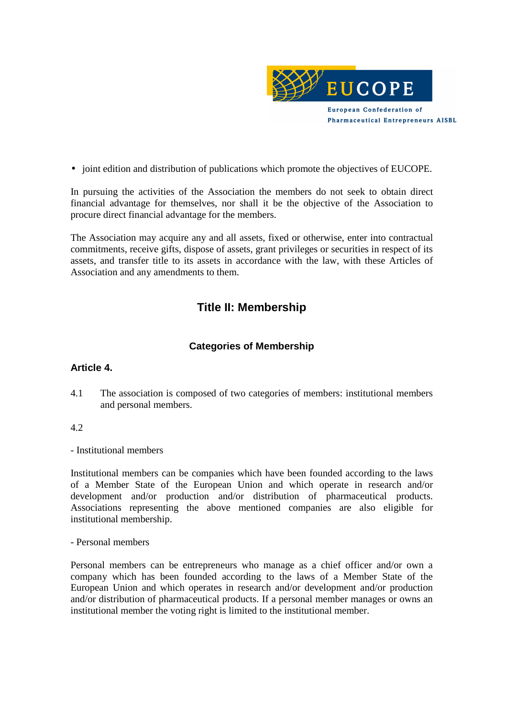

• joint edition and distribution of publications which promote the objectives of EUCOPE.

In pursuing the activities of the Association the members do not seek to obtain direct financial advantage for themselves, nor shall it be the objective of the Association to procure direct financial advantage for the members.

The Association may acquire any and all assets, fixed or otherwise, enter into contractual commitments, receive gifts, dispose of assets, grant privileges or securities in respect of its assets, and transfer title to its assets in accordance with the law, with these Articles of Association and any amendments to them.

# **Title II: Membership**

# **Categories of Membership**

### **Article 4.**

4.1 The association is composed of two categories of members: institutional members and personal members.

### 4.2

- Institutional members

Institutional members can be companies which have been founded according to the laws of a Member State of the European Union and which operate in research and/or development and/or production and/or distribution of pharmaceutical products. Associations representing the above mentioned companies are also eligible for institutional membership.

- Personal members

Personal members can be entrepreneurs who manage as a chief officer and/or own a company which has been founded according to the laws of a Member State of the European Union and which operates in research and/or development and/or production and/or distribution of pharmaceutical products. If a personal member manages or owns an institutional member the voting right is limited to the institutional member.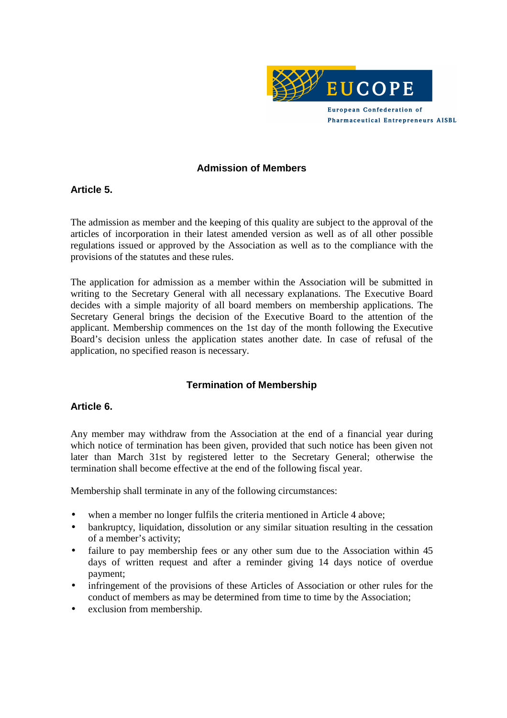

#### **Admission of Members**

#### **Article 5.**

The admission as member and the keeping of this quality are subject to the approval of the articles of incorporation in their latest amended version as well as of all other possible regulations issued or approved by the Association as well as to the compliance with the provisions of the statutes and these rules.

The application for admission as a member within the Association will be submitted in writing to the Secretary General with all necessary explanations. The Executive Board decides with a simple majority of all board members on membership applications. The Secretary General brings the decision of the Executive Board to the attention of the applicant. Membership commences on the 1st day of the month following the Executive Board's decision unless the application states another date. In case of refusal of the application, no specified reason is necessary.

# **Termination of Membership**

### **Article 6.**

Any member may withdraw from the Association at the end of a financial year during which notice of termination has been given, provided that such notice has been given not later than March 31st by registered letter to the Secretary General; otherwise the termination shall become effective at the end of the following fiscal year.

Membership shall terminate in any of the following circumstances:

- when a member no longer fulfils the criteria mentioned in Article 4 above;
- bankruptcy, liquidation, dissolution or any similar situation resulting in the cessation of a member's activity;
- failure to pay membership fees or any other sum due to the Association within 45 days of written request and after a reminder giving 14 days notice of overdue payment;
- infringement of the provisions of these Articles of Association or other rules for the conduct of members as may be determined from time to time by the Association;
- exclusion from membership.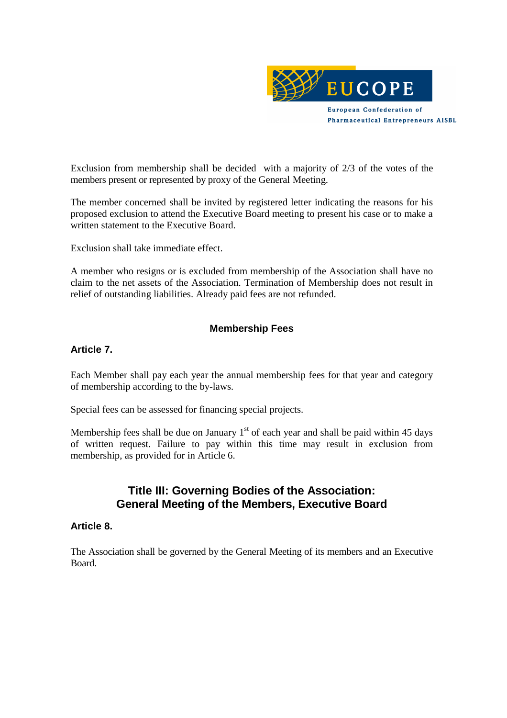

Exclusion from membership shall be decided with a majority of 2/3 of the votes of the members present or represented by proxy of the General Meeting.

The member concerned shall be invited by registered letter indicating the reasons for his proposed exclusion to attend the Executive Board meeting to present his case or to make a written statement to the Executive Board.

Exclusion shall take immediate effect.

A member who resigns or is excluded from membership of the Association shall have no claim to the net assets of the Association. Termination of Membership does not result in relief of outstanding liabilities. Already paid fees are not refunded.

# **Membership Fees**

#### **Article 7.**

Each Member shall pay each year the annual membership fees for that year and category of membership according to the by-laws.

Special fees can be assessed for financing special projects.

Membership fees shall be due on January  $1<sup>st</sup>$  of each year and shall be paid within 45 days of written request. Failure to pay within this time may result in exclusion from membership, as provided for in Article 6.

# **Title III: Governing Bodies of the Association: General Meeting of the Members, Executive Board**

#### **Article 8.**

The Association shall be governed by the General Meeting of its members and an Executive Board.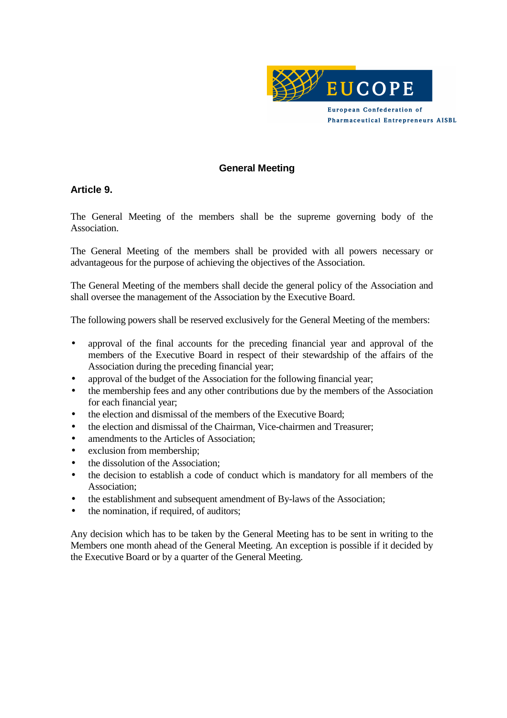

#### **General Meeting**

#### **Article 9.**

The General Meeting of the members shall be the supreme governing body of the Association.

The General Meeting of the members shall be provided with all powers necessary or advantageous for the purpose of achieving the objectives of the Association.

The General Meeting of the members shall decide the general policy of the Association and shall oversee the management of the Association by the Executive Board.

The following powers shall be reserved exclusively for the General Meeting of the members:

- approval of the final accounts for the preceding financial year and approval of the members of the Executive Board in respect of their stewardship of the affairs of the Association during the preceding financial year;
- approval of the budget of the Association for the following financial year;
- the membership fees and any other contributions due by the members of the Association for each financial year;
- the election and dismissal of the members of the Executive Board;
- the election and dismissal of the Chairman, Vice-chairmen and Treasurer;
- amendments to the Articles of Association:
- exclusion from membership:
- the dissolution of the Association;
- the decision to establish a code of conduct which is mandatory for all members of the Association;
- the establishment and subsequent amendment of By-laws of the Association;
- the nomination, if required, of auditors;

Any decision which has to be taken by the General Meeting has to be sent in writing to the Members one month ahead of the General Meeting. An exception is possible if it decided by the Executive Board or by a quarter of the General Meeting.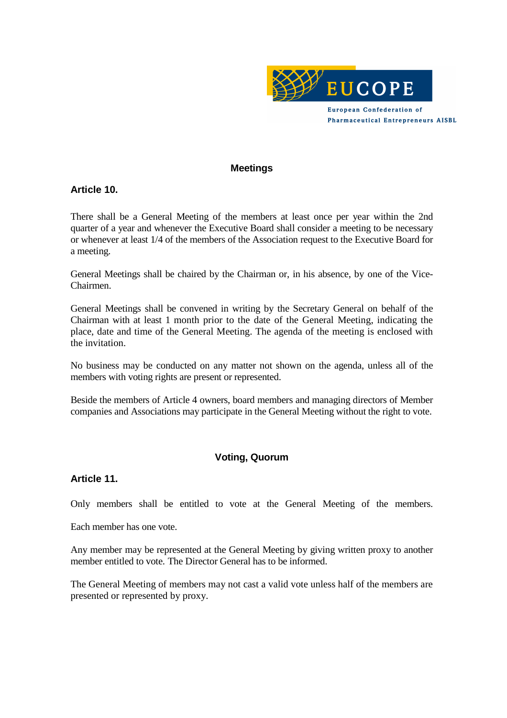

#### **Meetings**

#### **Article 10.**

There shall be a General Meeting of the members at least once per year within the 2nd quarter of a year and whenever the Executive Board shall consider a meeting to be necessary or whenever at least 1/4 of the members of the Association request to the Executive Board for a meeting.

General Meetings shall be chaired by the Chairman or, in his absence, by one of the Vice-Chairmen.

General Meetings shall be convened in writing by the Secretary General on behalf of the Chairman with at least 1 month prior to the date of the General Meeting, indicating the place, date and time of the General Meeting. The agenda of the meeting is enclosed with the invitation.

No business may be conducted on any matter not shown on the agenda, unless all of the members with voting rights are present or represented.

Beside the members of Article 4 owners, board members and managing directors of Member companies and Associations may participate in the General Meeting without the right to vote.

### **Voting, Quorum**

#### **Article 11.**

Only members shall be entitled to vote at the General Meeting of the members.

Each member has one vote.

Any member may be represented at the General Meeting by giving written proxy to another member entitled to vote. The Director General has to be informed.

The General Meeting of members may not cast a valid vote unless half of the members are presented or represented by proxy.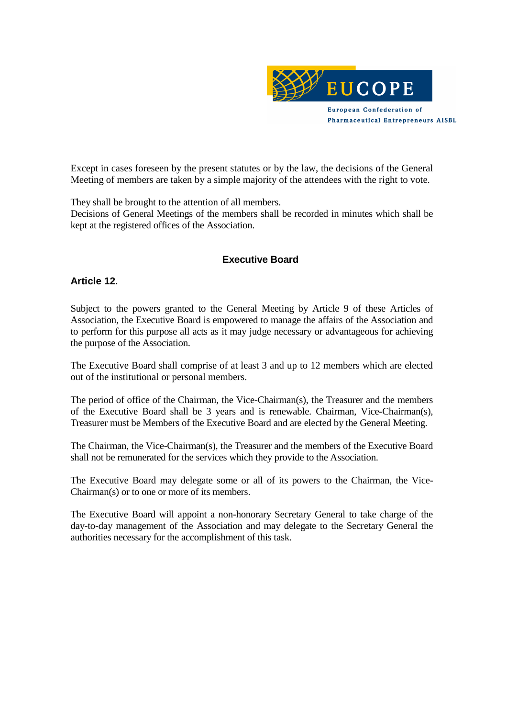

Except in cases foreseen by the present statutes or by the law, the decisions of the General Meeting of members are taken by a simple majority of the attendees with the right to vote.

They shall be brought to the attention of all members.

Decisions of General Meetings of the members shall be recorded in minutes which shall be kept at the registered offices of the Association.

#### **Executive Board**

#### **Article 12.**

Subject to the powers granted to the General Meeting by Article 9 of these Articles of Association, the Executive Board is empowered to manage the affairs of the Association and to perform for this purpose all acts as it may judge necessary or advantageous for achieving the purpose of the Association.

The Executive Board shall comprise of at least 3 and up to 12 members which are elected out of the institutional or personal members.

The period of office of the Chairman, the Vice-Chairman(s), the Treasurer and the members of the Executive Board shall be 3 years and is renewable. Chairman, Vice-Chairman(s), Treasurer must be Members of the Executive Board and are elected by the General Meeting.

The Chairman, the Vice-Chairman(s), the Treasurer and the members of the Executive Board shall not be remunerated for the services which they provide to the Association.

The Executive Board may delegate some or all of its powers to the Chairman, the Vice-Chairman(s) or to one or more of its members.

The Executive Board will appoint a non-honorary Secretary General to take charge of the day-to-day management of the Association and may delegate to the Secretary General the authorities necessary for the accomplishment of this task.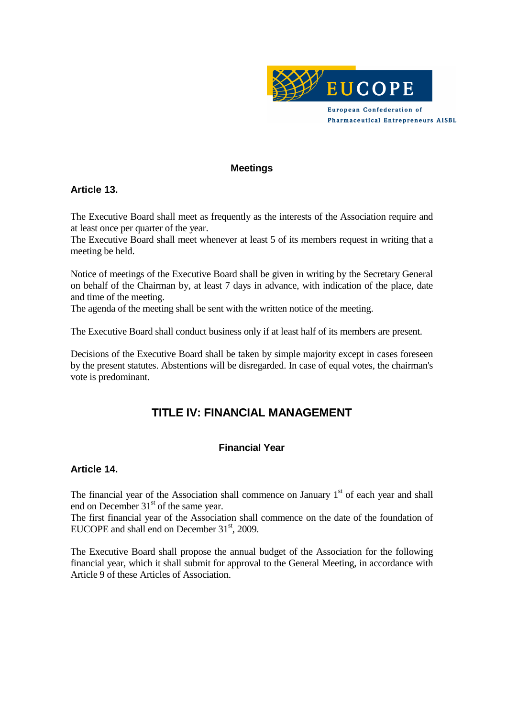

#### **Meetings**

### **Article 13.**

The Executive Board shall meet as frequently as the interests of the Association require and at least once per quarter of the year.

The Executive Board shall meet whenever at least 5 of its members request in writing that a meeting be held.

Notice of meetings of the Executive Board shall be given in writing by the Secretary General on behalf of the Chairman by, at least 7 days in advance, with indication of the place, date and time of the meeting.

The agenda of the meeting shall be sent with the written notice of the meeting.

The Executive Board shall conduct business only if at least half of its members are present.

Decisions of the Executive Board shall be taken by simple majority except in cases foreseen by the present statutes. Abstentions will be disregarded. In case of equal votes, the chairman's vote is predominant.

# **TITLE IV: FINANCIAL MANAGEMENT**

# **Financial Year**

#### **Article 14.**

The financial year of the Association shall commence on January  $1<sup>st</sup>$  of each year and shall end on December  $31<sup>st</sup>$  of the same year.

The first financial year of the Association shall commence on the date of the foundation of EUCOPE and shall end on December  $31<sup>st</sup>$ , 2009.

The Executive Board shall propose the annual budget of the Association for the following financial year, which it shall submit for approval to the General Meeting, in accordance with Article 9 of these Articles of Association.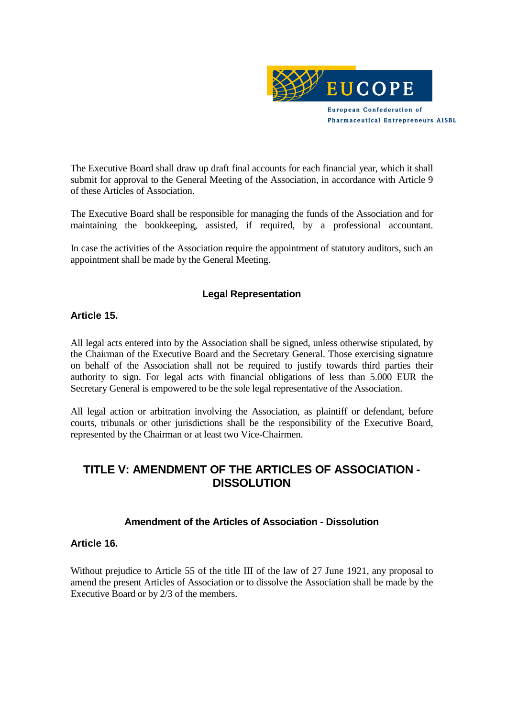

The Executive Board shall draw up draft final accounts for each financial year, which it shall submit for approval to the General Meeting of the Association, in accordance with Article 9 of these Articles of Association.

The Executive Board shall be responsible for managing the funds of the Association and for maintaining the bookkeeping, assisted, if required, by a professional accountant.

In case the activities of the Association require the appointment of statutory auditors, such an appointment shall be made by the General Meeting.

### **Legal Representation**

#### **Article 15.**

All legal acts entered into by the Association shall be signed, unless otherwise stipulated, by the Chairman of the Executive Board and the Secretary General. Those exercising signature on behalf of the Association shall not be required to justify towards third parties their authority to sign. For legal acts with financial obligations of less than 5.000 EUR the Secretary General is empowered to be the sole legal representative of the Association.

All legal action or arbitration involving the Association, as plaintiff or defendant, before courts, tribunals or other jurisdictions shall be the responsibility of the Executive Board, represented by the Chairman or at least two Vice-Chairmen.

# **TITLE V: AMENDMENT OF THE ARTICLES OF ASSOCIATION - DISSOLUTION**

#### **Amendment of the Articles of Association - Dissolution**

#### **Article 16.**

Without prejudice to Article 55 of the title III of the law of 27 June 1921, any proposal to amend the present Articles of Association or to dissolve the Association shall be made by the Executive Board or by 2/3 of the members.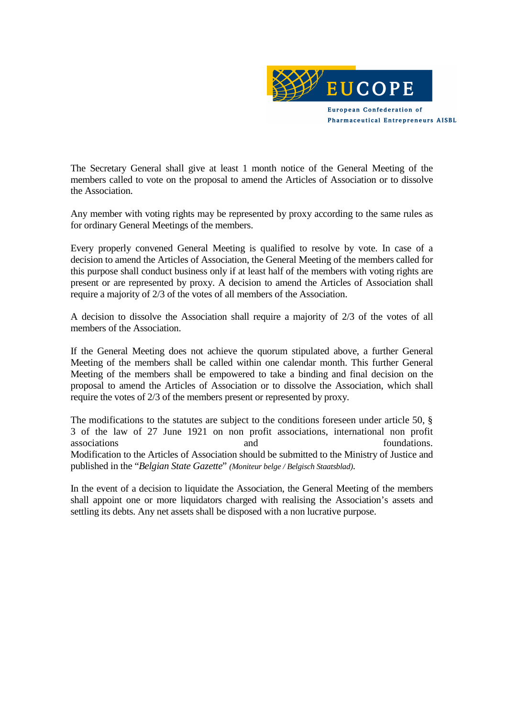

The Secretary General shall give at least 1 month notice of the General Meeting of the members called to vote on the proposal to amend the Articles of Association or to dissolve the Association.

Any member with voting rights may be represented by proxy according to the same rules as for ordinary General Meetings of the members.

Every properly convened General Meeting is qualified to resolve by vote. In case of a decision to amend the Articles of Association, the General Meeting of the members called for this purpose shall conduct business only if at least half of the members with voting rights are present or are represented by proxy. A decision to amend the Articles of Association shall require a majority of 2/3 of the votes of all members of the Association.

A decision to dissolve the Association shall require a majority of 2/3 of the votes of all members of the Association.

If the General Meeting does not achieve the quorum stipulated above, a further General Meeting of the members shall be called within one calendar month. This further General Meeting of the members shall be empowered to take a binding and final decision on the proposal to amend the Articles of Association or to dissolve the Association, which shall require the votes of 2/3 of the members present or represented by proxy.

The modifications to the statutes are subject to the conditions foreseen under article 50,  $\S$ 3 of the law of 27 June 1921 on non profit associations, international non profit associations and foundations. Modification to the Articles of Association should be submitted to the Ministry of Justice and published in the "*Belgian State Gazette*" *(Moniteur belge / Belgisch Staatsblad)*.

In the event of a decision to liquidate the Association, the General Meeting of the members shall appoint one or more liquidators charged with realising the Association's assets and settling its debts. Any net assets shall be disposed with a non lucrative purpose.